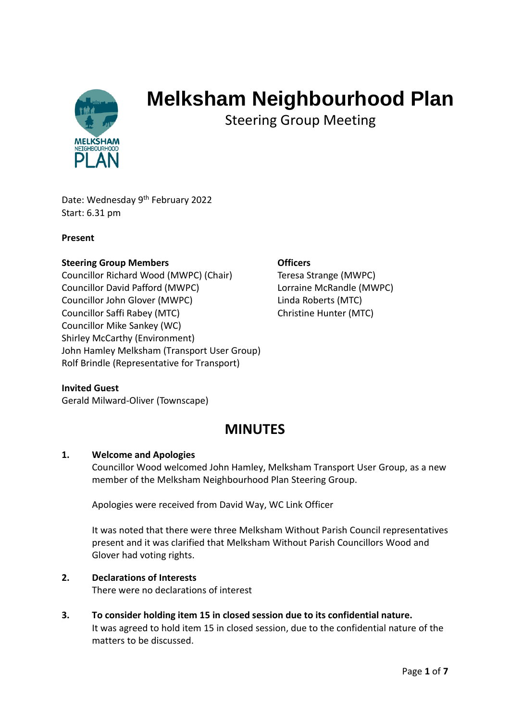

# **Melksham Neighbourhood Plan**

Steering Group Meeting

Date: Wednesday 9<sup>th</sup> February 2022 Start: 6.31 pm

#### **Present**

#### **Steering Group Members Contract Contract Contract Contract Contract Contract Contract Contract Contract Contract Contract Contract Contract Contract Contract Contract Contract Contract Contract Contract Contract Contrac**

Councillor Richard Wood (MWPC) (Chair) Teresa Strange (MWPC) Councillor David Pafford (MWPC) Lorraine McRandle (MWPC) Councillor John Glover (MWPC) Linda Roberts (MTC) Councillor Saffi Rabey (MTC) Christine Hunter (MTC) Councillor Mike Sankey (WC) Shirley McCarthy (Environment) John Hamley Melksham (Transport User Group) Rolf Brindle (Representative for Transport)

#### **Invited Guest**

Gerald Milward-Oliver (Townscape)

## **MINUTES**

#### **1. Welcome and Apologies**

Councillor Wood welcomed John Hamley, Melksham Transport User Group, as a new member of the Melksham Neighbourhood Plan Steering Group.

Apologies were received from David Way, WC Link Officer

It was noted that there were three Melksham Without Parish Council representatives present and it was clarified that Melksham Without Parish Councillors Wood and Glover had voting rights.

#### **2. Declarations of Interests**

There were no declarations of interest

**3. To consider holding item 15 in closed session due to its confidential nature.** It was agreed to hold item 15 in closed session, due to the confidential nature of the matters to be discussed.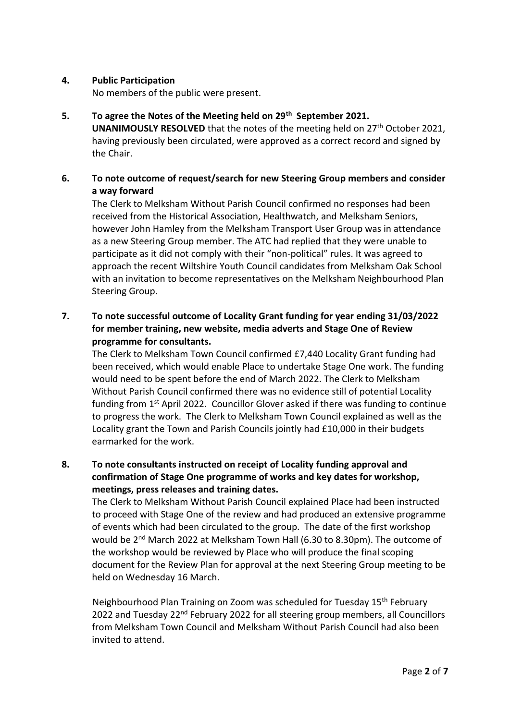#### **4. Public Participation**

No members of the public were present.

**5. To agree the Notes of the Meeting held on 29th September 2021.**

**UNANIMOUSLY RESOLVED** that the notes of the meeting held on 27<sup>th</sup> October 2021, having previously been circulated, were approved as a correct record and signed by the Chair.

#### **6. To note outcome of request/search for new Steering Group members and consider a way forward**

The Clerk to Melksham Without Parish Council confirmed no responses had been received from the Historical Association, Healthwatch, and Melksham Seniors, however John Hamley from the Melksham Transport User Group was in attendance as a new Steering Group member. The ATC had replied that they were unable to participate as it did not comply with their "non-political" rules. It was agreed to approach the recent Wiltshire Youth Council candidates from Melksham Oak School with an invitation to become representatives on the Melksham Neighbourhood Plan Steering Group.

### **7. To note successful outcome of Locality Grant funding for year ending 31/03/2022 for member training, new website, media adverts and Stage One of Review programme for consultants.**

The Clerk to Melksham Town Council confirmed £7,440 Locality Grant funding had been received, which would enable Place to undertake Stage One work. The funding would need to be spent before the end of March 2022. The Clerk to Melksham Without Parish Council confirmed there was no evidence still of potential Locality funding from 1<sup>st</sup> April 2022. Councillor Glover asked if there was funding to continue to progress the work. The Clerk to Melksham Town Council explained as well as the Locality grant the Town and Parish Councils jointly had £10,000 in their budgets earmarked for the work.

### **8. To note consultants instructed on receipt of Locality funding approval and confirmation of Stage One programme of works and key dates for workshop, meetings, press releases and training dates.**

The Clerk to Melksham Without Parish Council explained Place had been instructed to proceed with Stage One of the review and had produced an extensive programme of events which had been circulated to the group. The date of the first workshop would be 2<sup>nd</sup> March 2022 at Melksham Town Hall (6.30 to 8.30pm). The outcome of the workshop would be reviewed by Place who will produce the final scoping document for the Review Plan for approval at the next Steering Group meeting to be held on Wednesday 16 March.

Neighbourhood Plan Training on Zoom was scheduled for Tuesday 15th February 2022 and Tuesday 22<sup>nd</sup> February 2022 for all steering group members, all Councillors from Melksham Town Council and Melksham Without Parish Council had also been invited to attend.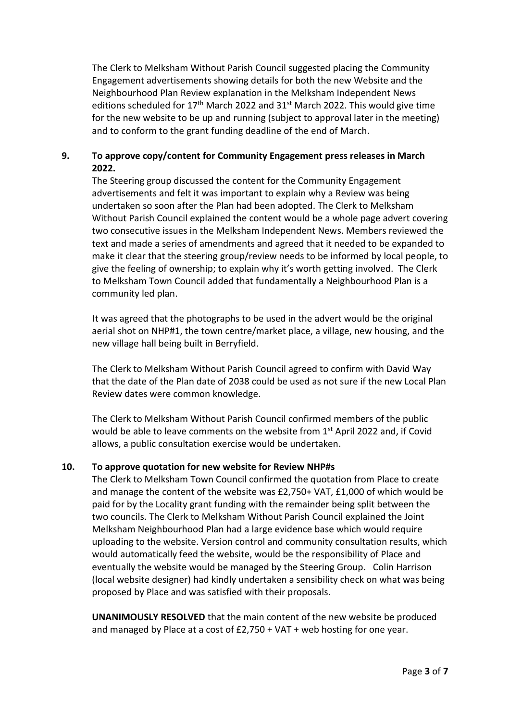The Clerk to Melksham Without Parish Council suggested placing the Community Engagement advertisements showing details for both the new Website and the Neighbourhood Plan Review explanation in the Melksham Independent News editions scheduled for  $17<sup>th</sup>$  March 2022 and 31<sup>st</sup> March 2022. This would give time for the new website to be up and running (subject to approval later in the meeting) and to conform to the grant funding deadline of the end of March.

#### **9. To approve copy/content for Community Engagement press releases in March 2022.**

The Steering group discussed the content for the Community Engagement advertisements and felt it was important to explain why a Review was being undertaken so soon after the Plan had been adopted. The Clerk to Melksham Without Parish Council explained the content would be a whole page advert covering two consecutive issues in the Melksham Independent News. Members reviewed the text and made a series of amendments and agreed that it needed to be expanded to make it clear that the steering group/review needs to be informed by local people, to give the feeling of ownership; to explain why it's worth getting involved. The Clerk to Melksham Town Council added that fundamentally a Neighbourhood Plan is a community led plan.

It was agreed that the photographs to be used in the advert would be the original aerial shot on NHP#1, the town centre/market place, a village, new housing, and the new village hall being built in Berryfield.

The Clerk to Melksham Without Parish Council agreed to confirm with David Way that the date of the Plan date of 2038 could be used as not sure if the new Local Plan Review dates were common knowledge.

The Clerk to Melksham Without Parish Council confirmed members of the public would be able to leave comments on the website from 1<sup>st</sup> April 2022 and, if Covid allows, a public consultation exercise would be undertaken.

#### **10. To approve quotation for new website for Review NHP#s**

The Clerk to Melksham Town Council confirmed the quotation from Place to create and manage the content of the website was £2,750+ VAT, £1,000 of which would be paid for by the Locality grant funding with the remainder being split between the two councils. The Clerk to Melksham Without Parish Council explained the Joint Melksham Neighbourhood Plan had a large evidence base which would require uploading to the website. Version control and community consultation results, which would automatically feed the website, would be the responsibility of Place and eventually the website would be managed by the Steering Group. Colin Harrison (local website designer) had kindly undertaken a sensibility check on what was being proposed by Place and was satisfied with their proposals.

**UNANIMOUSLY RESOLVED** that the main content of the new website be produced and managed by Place at a cost of £2,750 + VAT + web hosting for one year.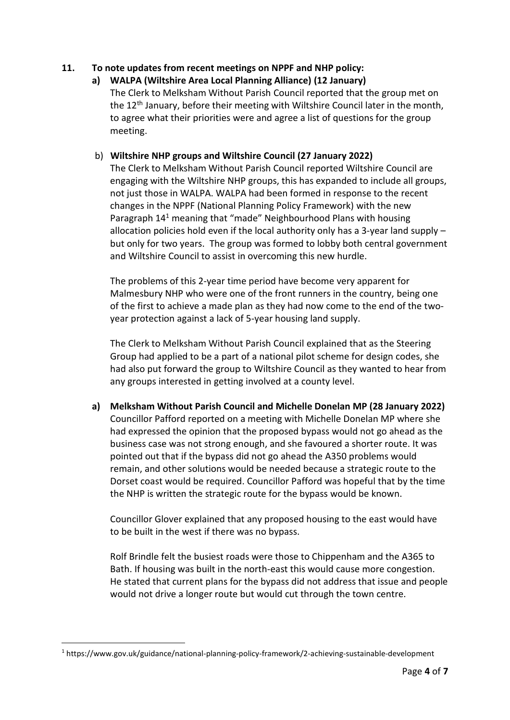#### **11. To note updates from recent meetings on NPPF and NHP policy:**

**a) WALPA (Wiltshire Area Local Planning Alliance) (12 January)** The Clerk to Melksham Without Parish Council reported that the group met on the 12<sup>th</sup> January, before their meeting with Wiltshire Council later in the month, to agree what their priorities were and agree a list of questions for the group meeting.

#### b) **Wiltshire NHP groups and Wiltshire Council (27 January 2022)**

The Clerk to Melksham Without Parish Council reported Wiltshire Council are engaging with the Wiltshire NHP groups, this has expanded to include all groups, not just those in WALPA. WALPA had been formed in response to the recent changes in the NPPF (National Planning Policy Framework) with the new Paragraph 14<sup>1</sup> meaning that "made" Neighbourhood Plans with housing allocation policies hold even if the local authority only has a 3-year land supply – but only for two years. The group was formed to lobby both central government and Wiltshire Council to assist in overcoming this new hurdle.

The problems of this 2-year time period have become very apparent for Malmesbury NHP who were one of the front runners in the country, being one of the first to achieve a made plan as they had now come to the end of the twoyear protection against a lack of 5-year housing land supply.

The Clerk to Melksham Without Parish Council explained that as the Steering Group had applied to be a part of a national pilot scheme for design codes, she had also put forward the group to Wiltshire Council as they wanted to hear from any groups interested in getting involved at a county level.

**a) Melksham Without Parish Council and Michelle Donelan MP (28 January 2022)** Councillor Pafford reported on a meeting with Michelle Donelan MP where she had expressed the opinion that the proposed bypass would not go ahead as the business case was not strong enough, and she favoured a shorter route. It was pointed out that if the bypass did not go ahead the A350 problems would remain, and other solutions would be needed because a strategic route to the Dorset coast would be required. Councillor Pafford was hopeful that by the time the NHP is written the strategic route for the bypass would be known.

Councillor Glover explained that any proposed housing to the east would have to be built in the west if there was no bypass.

Rolf Brindle felt the busiest roads were those to Chippenham and the A365 to Bath. If housing was built in the north-east this would cause more congestion. He stated that current plans for the bypass did not address that issue and people would not drive a longer route but would cut through the town centre.

<sup>1</sup> https://www.gov.uk/guidance/national-planning-policy-framework/2-achieving-sustainable-development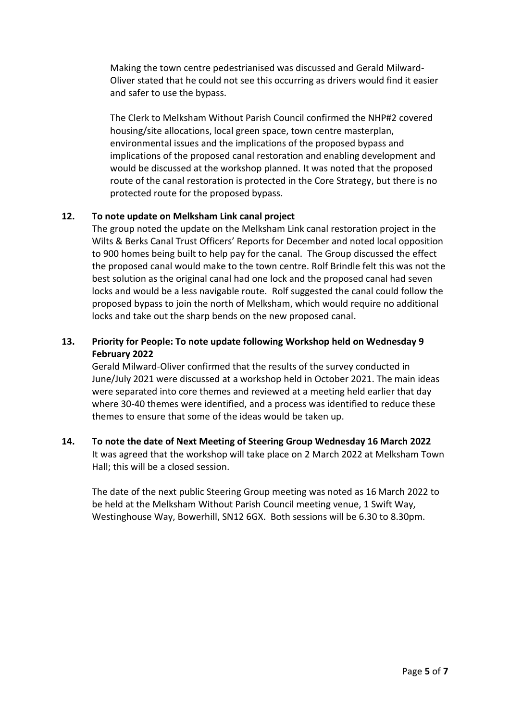Making the town centre pedestrianised was discussed and Gerald Milward-Oliver stated that he could not see this occurring as drivers would find it easier and safer to use the bypass.

The Clerk to Melksham Without Parish Council confirmed the NHP#2 covered housing/site allocations, local green space, town centre masterplan, environmental issues and the implications of the proposed bypass and implications of the proposed canal restoration and enabling development and would be discussed at the workshop planned. It was noted that the proposed route of the canal restoration is protected in the Core Strategy, but there is no protected route for the proposed bypass.

#### **12. To note update on Melksham Link canal project**

The group noted the update on the Melksham Link canal restoration project in the Wilts & Berks Canal Trust Officers' Reports for December and noted local opposition to 900 homes being built to help pay for the canal. The Group discussed the effect the proposed canal would make to the town centre. Rolf Brindle felt this was not the best solution as the original canal had one lock and the proposed canal had seven locks and would be a less navigable route. Rolf suggested the canal could follow the proposed bypass to join the north of Melksham, which would require no additional locks and take out the sharp bends on the new proposed canal.

### **13. Priority for People: To note update following Workshop held on Wednesday 9 February 2022**

Gerald Milward-Oliver confirmed that the results of the survey conducted in June/July 2021 were discussed at a workshop held in October 2021. The main ideas were separated into core themes and reviewed at a meeting held earlier that day where 30-40 themes were identified, and a process was identified to reduce these themes to ensure that some of the ideas would be taken up.

### **14. To note the date of Next Meeting of Steering Group Wednesday 16 March 2022** It was agreed that the workshop will take place on 2 March 2022 at Melksham Town Hall; this will be a closed session.

The date of the next public Steering Group meeting was noted as 16 March 2022 to be held at the Melksham Without Parish Council meeting venue, 1 Swift Way, Westinghouse Way, Bowerhill, SN12 6GX. Both sessions will be 6.30 to 8.30pm.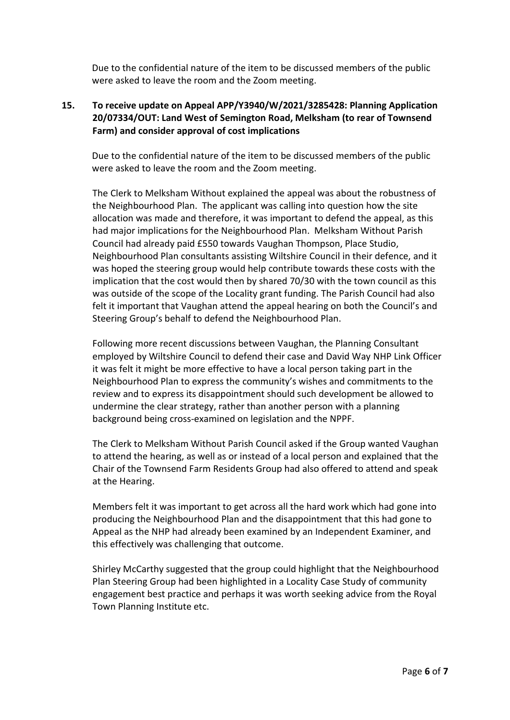Due to the confidential nature of the item to be discussed members of the public were asked to leave the room and the Zoom meeting.

### **15. To receive update on Appeal APP/Y3940/W/2021/3285428: Planning Application 20/07334/OUT: Land West of Semington Road, Melksham (to rear of Townsend Farm) and consider approval of cost implications**

Due to the confidential nature of the item to be discussed members of the public were asked to leave the room and the Zoom meeting.

The Clerk to Melksham Without explained the appeal was about the robustness of the Neighbourhood Plan. The applicant was calling into question how the site allocation was made and therefore, it was important to defend the appeal, as this had major implications for the Neighbourhood Plan. Melksham Without Parish Council had already paid £550 towards Vaughan Thompson, Place Studio, Neighbourhood Plan consultants assisting Wiltshire Council in their defence, and it was hoped the steering group would help contribute towards these costs with the implication that the cost would then by shared 70/30 with the town council as this was outside of the scope of the Locality grant funding. The Parish Council had also felt it important that Vaughan attend the appeal hearing on both the Council's and Steering Group's behalf to defend the Neighbourhood Plan.

Following more recent discussions between Vaughan, the Planning Consultant employed by Wiltshire Council to defend their case and David Way NHP Link Officer it was felt it might be more effective to have a local person taking part in the Neighbourhood Plan to express the community's wishes and commitments to the review and to express its disappointment should such development be allowed to undermine the clear strategy, rather than another person with a planning background being cross-examined on legislation and the NPPF.

The Clerk to Melksham Without Parish Council asked if the Group wanted Vaughan to attend the hearing, as well as or instead of a local person and explained that the Chair of the Townsend Farm Residents Group had also offered to attend and speak at the Hearing.

Members felt it was important to get across all the hard work which had gone into producing the Neighbourhood Plan and the disappointment that this had gone to Appeal as the NHP had already been examined by an Independent Examiner, and this effectively was challenging that outcome.

Shirley McCarthy suggested that the group could highlight that the Neighbourhood Plan Steering Group had been highlighted in a Locality Case Study of community engagement best practice and perhaps it was worth seeking advice from the Royal Town Planning Institute etc.